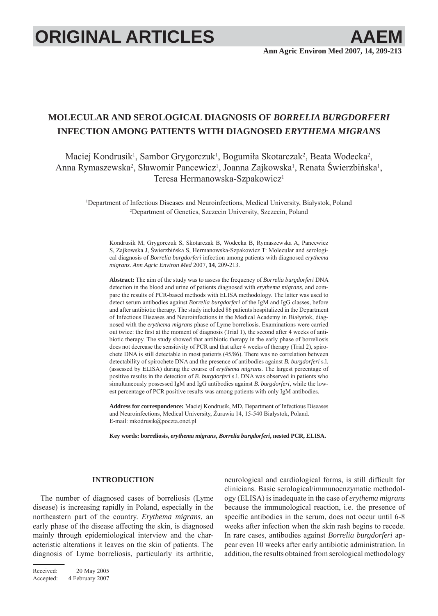# **ORIGINAL ARTICLES AAEI**

# **MOLECULAR AND SEROLOGICAL DIAGNOSIS OF** *BORRELIA BURGDORFERI*  **INFECTION AMONG PATIENTS WITH DIAGNOSED** *ERYTHEMA MIGRANS*

Maciej Kondrusik<sup>1</sup>, Sambor Grygorczuk<sup>1</sup>, Bogumiła Skotarczak<sup>2</sup>, Beata Wodecka<sup>2</sup>, Anna Rymaszewska<sup>2</sup>, Sławomir Pancewicz<sup>1</sup>, Joanna Zajkowska<sup>1</sup>, Renata Świerzbińska<sup>1</sup>, Teresa Hermanowska-Szpakowicz1

1 Department of Infectious Diseases and Neuroinfections, Medical University, Białystok, Poland 2 Department of Genetics, Szczecin University, Szczecin, Poland

Kondrusik M, Grygorczuk S, Skotarczak B, Wodecka B, Rymaszewska A, Pancewicz S, Zajkowska J, Świerzbińska S, Hermanowska-Szpakowicz T: Molecular and serological diagnosis of *Borrelia burgdorferi* infection among patients with diagnosed *erythema migrans*. *Ann Agric Environ Med* 2007, **14**, 209-213.

**Abstract:** The aim of the study was to assess the frequency of *Borrelia burgdorferi* DNA detection in the blood and urine of patients diagnosed with *erythema migrans*, and compare the results of PCR-based methods with ELISA methodology. The latter was used to detect serum antibodies against *Borrelia burgdorferi* of the IgM and IgG classes, before and after antibiotic therapy. The study included 86 patients hospitalized in the Department of Infectious Diseases and Neuroinfections in the Medical Academy in Białystok, diagnosed with the *erythema migrans* phase of Lyme borreliosis. Examinations were carried out twice: the first at the moment of diagnosis (Trial 1), the second after 4 weeks of antibiotic therapy. The study showed that antibiotic therapy in the early phase of borreliosis does not decrease the sensitivity of PCR and that after 4 weeks of therapy (Trial 2), spirochete DNA is still detectable in most patients (45/86). There was no correlation between detectability of spirochete DNA and the presence of antibodies against *B. burgdorferi* s.l. (assessed by ELISA) during the course of *erythema migrans*. The largest percentage of positive results in the detection of *B. burgdorferi* s.l. DNA was observed in patients who simultaneously possessed IgM and IgG antibodies against *B. burgdorferi*, while the lowest percentage of PCR positive results was among patients with only IgM antibodies.

**Address for correspondence:** Maciej Kondrusik, MD, Department of Infectious Diseases and Neuroinfections, Medical University, Żurawia 14, 15-540 Białystok, Poland. E-mail: mkodrusik@poczta.onet.pl

**Key words: borreliosis,** *erythema migrans***,** *Borrelia burgdorferi***, nested PCR, ELISA.**

#### **INTRODUCTION**

The number of diagnosed cases of borreliosis (Lyme disease) is increasing rapidly in Poland, especially in the northeastern part of the country. *Erythema migrans*, an early phase of the disease affecting the skin, is diagnosed mainly through epidemiological interview and the characteristic alterations it leaves on the skin of patients. The diagnosis of Lyme borreliosis, particularly its arthritic,

neurological and cardiological forms, is still difficult for clinicians. Basic serological/immunoenzymatic methodology (ELISA) is inadequate in the case of *erythema migrans* because the immunological reaction, i.e. the presence of specific antibodies in the serum, does not occur until 6-8 weeks after infection when the skin rash begins to recede. In rare cases, antibodies against *Borrelia burgdorferi* appear even 10 weeks after early antibiotic administration. In addition, the results obtained from serological methodology

Received: 20 May 2005 Accepted: 4 February 2007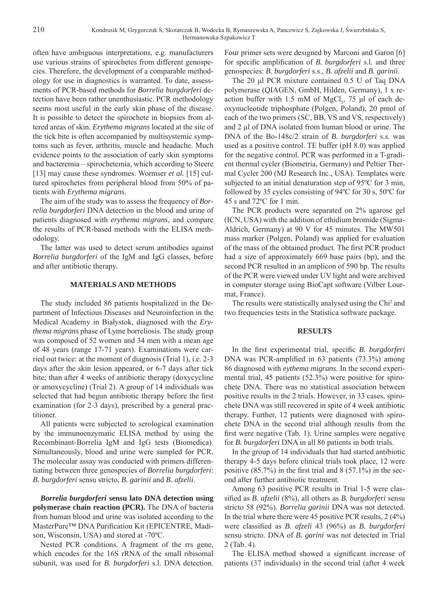often have ambiguous interpretations, e.g. manufacturers use various strains of spirochetes from different genospecies. Therefore, the development of a comparable methodology for use in diagnostics is warranted. To date, assessments of PCR-based methods for *Borrelia burgdorferi* detection have been rather unenthusiastic. PCR methodology seems most useful in the early skin phase of the disease. It is possible to detect the spirochete in biopsies from altered areas of skin. *Erythema migrans* located at the site of the tick bite is often accompanied by multisystemic symptoms such as fever, arthritis, muscle and headache. Much evidence points to the association of early skin symptoms and bacteremia – spirochetemia, which according to Steere [13] may cause these syndromes. Wormser *et al.* [15] cultured spirochetes from peripheral blood from 50% of patients with *Erythema migrans*.

The aim of the study was to assess the frequency of *Borrelia burgdorferi* DNA detection in the blood and urine of patients diagnosed with *erythema migrans*, and compare the results of PCR-based methods with the ELISA methodology.

The latter was used to detect serum antibodies against *Borrelia burgdorferi* of the IgM and IgG classes, before and after antibiotic therapy.

#### **MATERIALS AND METHODS**

The study included 86 patients hospitalized in the Department of Infectious Diseases and Neuroinfection in the Medical Academy in Białystok, diagnosed with the *Erythema migrans* phase of Lyme borreliosis. The study group was composed of 52 women and 34 men with a mean age of 48 years (range 17-71 years). Examinations were carried out twice: at the moment of diagnosis (Trial 1), i.e. 2-3 days after the skin lesion appeared, or 6-7 days after tick bite; than after 4 weeks of antibiotic therapy (doxycycline or amoxycycline) (Trial 2). A group of 14 individuals was selected that had begun antibiotic therapy before the first examination (for 2-3 days), prescribed by a general practitioner.

All patients were subjected to serological examination by the immunoenzymatic ELISA method by using the Recombinant-Borrelia IgM and IgG tests (Biomedica). Simultaneously, blood and urine were sampled for PCR. The molecular assay was conducted with primers differentiating between three genospecies of *Borrelia burgdorferi*: *B. burgdorferi* sensu stricto, *B. garinii* and *B. afzelii*.

*Borrelia burgdorferi* **sensu lato DNA detection using polymerase chain reaction (PCR).** The DNA of bacteria from human blood and urine was isolated according to the MasterPure™ DNA Purification Kit (EPICENTRE, Madison, Wisconsin, USA) and stored at -70ºC.

Nested PCR conditions. A fragment of the rrs gene, which encodes for the 16S rRNA of the small ribisomal subunit, was used for *B. burgdorferi* s.l. DNA detection. Four primer sets were designed by Marconi and Garon [6] for specific amplification of *B. burgdorferi* s.l. and three genospecies: *B. burgdorferi* s.s., *B. afzelii* and *B. garinii*.

The 20 μl PCR mixture contained 0.5 U of Taq DNA polymerase (QIAGEN, GmbH, Hilden, Germany), 1 x reaction buffer with 1.5 mM of  $MgCl_2$ , 75 µl of each deoxynucleotide triphosphate (Polgen, Poland), 20 pmol of each of the two primers (SC, BB, VS and VS, respectively) and 2 μl of DNA isolated from human blood or urine. The DNA of the Bo-148c/2 strain of *B. burgdorferi* s.s. was used as a positive control. TE buffer (pH 8.0) was applied for the negative control. PCR was performed in a T-gradient thermal cycler (Biometria, Germany) and Peltier Thermal Cycler 200 (MJ Research Inc., USA). Templates were subjected to an initial denaturation step of 95ºC for 3 min, followed by 35 cycles consisting of 94ºC for 30 s, 50ºC for 45 s and 72ºC for 1 min.

The PCR products were separated on 2% agarose gel (ICN, USA) with the addition of ethidium bromide (Sigma-Aldrich, Germany) at 90 V for 45 minutes. The MW501 mass marker (Polgen, Poland) was applied for evaluation of the mass of the obtained product. The first PCR product had a size of approximately 669 base pairs (bp), and the second PCR resulted in an amplicon of 590 bp. The results of the PCR were viewed under UV light and were archived in computer storage using BioCapt software (Vilber Lourmat, France).

The results were statistically analysed using the Chi<sup>2</sup> and two frequencies tests in the Statistica software package.

#### **RESULTS**

In the first experimental trial, specific *B. burgdorferi* DNA was PCR-amplified in 63 patients (73.3%) among 86 diagnosed with *eythema migrans*. In the second experimental trial, 45 patients (52.3%) were positive for spirochete DNA. There was no statistical association between positive results in the 2 trials. However, in 33 cases, spirochete DNA was still recovered in spite of 4 week antibiotic therapy. Further, 12 patients were diagnosed with spirochete DNA in the second trial although results from the first were negative (Tab. 1). Urine samples were negative for *B. burgdorferi* DNA in all 86 patients in both trials.

In the group of 14 individuals that had started antibiotic therapy 4-5 days before clinical trials took place, 12 were positive  $(85.7\%)$  in the first trial and  $8(57.1\%)$  in the second after further antibiotic treatment.

Among 63 positive PCR results in Trial 1-5 were classified as *B. afzelii* (8%), all others as *B. burgdorferi* sensu stricto 58 (92%). *Borrelia garinii* DNA was not detected. In the trial where there were 45 positive PCR results, 2 (4%) were classified as *B. afzeli* 43 (96%) as *B. burgdorferi* sensu stricto. DNA of *B. garini* was not detected in Trial 2 (Tab. 4).

The ELISA method showed a significant increase of patients (37 individuals) in the second trial (after 4 week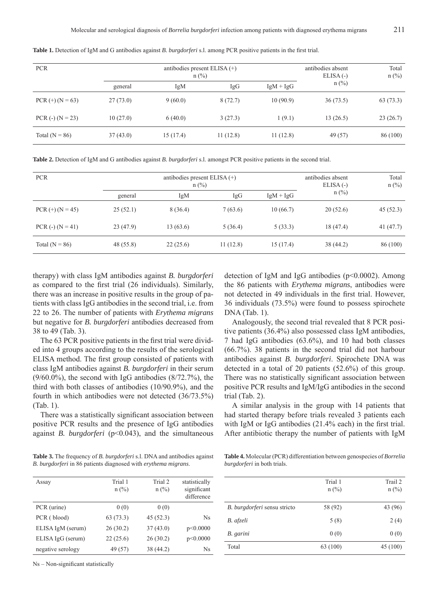| <b>PCR</b>         | antibodies present ELISA $(+)$<br>$n$ (%) |          |          | antibodies absent<br>$ELISA(-)$ | Total<br>$n$ (%) |          |
|--------------------|-------------------------------------------|----------|----------|---------------------------------|------------------|----------|
|                    | general                                   | IgM      | IgG      | $IgM + IgG$                     | $n$ (%)          |          |
| $PCR (+) (N = 63)$ | 27(73.0)                                  | 9(60.0)  | 8(72.7)  | 10(90.9)                        | 36(73.5)         | 63(73.3) |
| PCR $(-)$ (N = 23) | 10(27.0)                                  | 6(40.0)  | 3(27.3)  | 1(9.1)                          | 13(26.5)         | 23(26.7) |
| Total ( $N = 86$ ) | 37(43.0)                                  | 15(17.4) | 11(12.8) | 11(12.8)                        | 49 (57)          | 86 (100) |

Table 1. Detection of IgM and G antibodies against *B. burgdorferi* s.l. among PCR positive patients in the first trial.

**Table 2.** Detection of IgM and G antibodies against *B. burgdorferi* s.l. amongst PCR positive patients in the second trial.

| <b>PCR</b>         | antibodies present ELISA $(+)$<br>$n$ (%) |           |          | antibodies absent<br>$ELISA(-)$ | Total<br>$n$ (%) |          |
|--------------------|-------------------------------------------|-----------|----------|---------------------------------|------------------|----------|
|                    | general                                   | IgM       | IgG      | $IgM + IgG$                     | $n$ (%)          |          |
| $PCR (+) (N = 45)$ | 25(52.1)                                  | 8(36.4)   | 7(63.6)  | 10(66.7)                        | 20(52.6)         | 45(52.3) |
| $PCR(-) (N = 41)$  | 23(47.9)                                  | 13 (63.6) | 5(36.4)  | 5(33.3)                         | 18 (47.4)        | 41(47.7) |
| Total ( $N = 86$ ) | 48 (55.8)                                 | 22(25.6)  | 11(12.8) | 15(17.4)                        | 38 (44.2)        | 86 (100) |

therapy) with class IgM antibodies against *B. burgdorferi* as compared to the first trial (26 individuals). Similarly, there was an increase in positive results in the group of patients with class IgG antibodies in the second trial, i.e. from 22 to 26. The number of patients with *Erythema migrans* but negative for *B. burgdorferi* antibodies decreased from 38 to 49 (Tab. 3).

The 63 PCR positive patients in the first trial were divided into 4 groups according to the results of the serological ELISA method. The first group consisted of patients with class IgM antibodies against *B. burgdorferi* in their serum  $(9/60.0\%)$ , the second with IgG antibodies  $(8/72.7\%)$ , the third with both classes of antibodies (10/90.9%), and the fourth in which antibodies were not detected (36/73.5%) (Tab. 1).

There was a statistically significant association between positive PCR results and the presence of IgG antibodies against *B. burgdorferi* (p<0.043), and the simultaneous

detection of IgM and IgG antibodies (p<0.0002). Among the 86 patients with *Erythema migrans*, antibodies were not detected in 49 individuals in the first trial. However, 36 individuals (73.5%) were found to possess spirochete DNA (Tab. 1).

Analogously, the second trial revealed that 8 PCR positive patients (36.4%) also possessed class IgM antibodies, 7 had IgG antibodies (63.6%), and 10 had both classes (66.7%). 38 patients in the second trial did not harbour antibodies against *B. burgdorferi*. Spirochete DNA was detected in a total of 20 patients (52.6%) of this group. There was no statistically significant association between positive PCR results and IgM/IgG antibodies in the second trial (Tab. 2).

A similar analysis in the group with 14 patients that had started therapy before trials revealed 3 patients each with IgM or IgG antibodies  $(21.4\%$  each) in the first trial. After antibiotic therapy the number of patients with IgM

**Table 3.** The frequency of *B. burgdorferi* s.l. DNA and antibodies against *B. burgdorferi* in 86 patients diagnosed with *erythema migrans*.

| Assay             | Trial 1   | Trial 2   | statistically |
|-------------------|-----------|-----------|---------------|
|                   | $n$ (%)   | $n$ (%)   | significant   |
|                   |           |           | difference    |
| PCR (urine)       | 0(0)      | 0(0)      |               |
| PCR (blood)       | 63 (73.3) | 45(52.3)  | <b>Ns</b>     |
| ELISA IgM (serum) | 26(30.2)  | 37(43.0)  | p<0.0000      |
| ELISA IgG (serum) | 22(25.6)  | 26(30.2)  | p<0.0000      |
| negative serology | 49 (57)   | 38 (44.2) | <b>Ns</b>     |

Ns - Non-significant statistically

**Table 4.** Molecular (PCR) differentiation between genospecies of *Borrelia burgdorferi* in both trials.

|                              | Trial 1<br>$n$ (%) | Trail 2<br>$n$ (%) |
|------------------------------|--------------------|--------------------|
| B. burgdorferi sensu stricto | 58 (92)            | 43 (96)            |
| B. afzeli                    | 5(8)               | 2(4)               |
| B. garini                    | 0(0)               | 0(0)               |
| Total                        | 63 (100)           | 45 (100)           |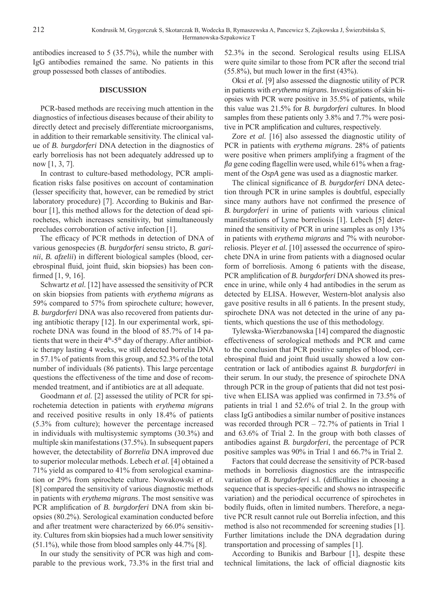antibodies increased to 5 (35.7%), while the number with IgG antibodies remained the same. No patients in this group possessed both classes of antibodies.

### **DISCUSSION**

PCR-based methods are receiving much attention in the diagnostics of infectious diseases because of their ability to directly detect and precisely differentiate microorganisms, in addition to their remarkable sensitivity. The clinical value of *B. burgdorferi* DNA detection in the diagnostics of early borreliosis has not been adequately addressed up to now [1, 3, 7].

In contrast to culture-based methodology, PCR amplification risks false positives on account of contamination (lesser specificity that, however, can be remedied by strict laboratory procedure) [7]. According to Bukinis and Barbour [1], this method allows for the detection of dead spirochetes, which increases sensitivity, but simultaneously precludes corroboration of active infection [1].

The efficacy of PCR methods in detection of DNA of various genospecies (*B. burgdorferi* sensu stricto, *B. garinii*, *B. afzelii*) in different biological samples (blood, cerebrospinal fluid, joint fluid, skin biopsies) has been confirmed  $[1, 9, 16]$ .

Schwartz *et al.* [12] have assessed the sensitivity of PCR on skin biopsies from patients with *erythema migrans* as 59% compared to 57% from spirochete culture; however, *B. burgdorferi* DNA was also recovered from patients during antibiotic therapy [12]. In our experimental work, spirochete DNA was found in the blood of 85.7% of 14 patients that were in their 4<sup>th</sup>-5<sup>th</sup> day of therapy. After antibiotic therapy lasting 4 weeks, we still detected borrelia DNA in 57.1% of patients from this group, and 52.3% of the total number of individuals (86 patients). This large percentage questions the effectiveness of the time and dose of recommended treatment, and if antibiotics are at all adequate.

Goodmann *et al.* [2] assessed the utility of PCR for spirochetemia detection in patients with *erythema migrans* and received positive results in only 18.4% of patients (5.3% from culture); however the percentage increased in individuals with multisystemic symptoms (30.3%) and multiple skin manifestations (37.5%). In subsequent papers however, the detectability of *Borrelia* DNA improved due to superior molecular methods. Lebech *et al.* [4] obtained a 71% yield as compared to 41% from serological examination or 29% from spirochete culture. Nowakowski *et al.* [8] compared the sensitivity of various diagnostic methods in patients with *erythema migrans*. The most sensitive was PCR amplification of *B. burgdorferi* DNA from skin biopsies (80.2%). Serological examination conducted before and after treatment were characterized by 66.0% sensitivity. Cultures from skin biopsies had a much lower sensitivity (51.1%), while those from blood samples only 44.7% [8].

In our study the sensitivity of PCR was high and comparable to the previous work, 73.3% in the first trial and

52.3% in the second. Serological results using ELISA were quite similar to those from PCR after the second trial  $(55.8\%)$ , but much lower in the first  $(43\%)$ .

Oksi *et al.* [9] also assessed the diagnostic utility of PCR in patients with *erythema migrans*. Investigations of skin biopsies with PCR were positive in 35.5% of patients, while this value was 21.5% for *B. burgdorferi* cultures. In blood samples from these patients only 3.8% and 7.7% were positive in PCR amplification and cultures, respectively.

Zore *et al.* [16] also assessed the diagnostic utility of PCR in patients with *erythema migrans*. 28% of patients were positive when primers amplifying a fragment of the *fla* gene coding flagellin were used, while 61% when a fragment of the *OspA* gene was used as a diagnostic marker.

The clinical significance of *B. burgdorferi* DNA detection through PCR in urine samples is doubtful, especially since many authors have not confirmed the presence of *B. burgdorferi* in urine of patients with various clinical manifestations of Lyme borreliosis [1]. Lebech [5] determined the sensitivity of PCR in urine samples as only 13% in patients with *erythema migrans* and 7% with neuroborreliosis. Pleyer *et al.* [10] assessed the occurrence of spirochete DNA in urine from patients with a diagnosed ocular form of borreliosis. Among 6 patients with the disease, PCR amplification of *B. burgdorferi* DNA showed its presence in urine, while only 4 had antibodies in the serum as detected by ELISA. However, Western-blot analysis also gave positive results in all 6 patients. In the present study, spirochete DNA was not detected in the urine of any patients, which questions the use of this methodology.

Tylewska-Wierzbanowska [14] compared the diagnostic effectiveness of serological methods and PCR and came to the conclusion that PCR positive samples of blood, cerebrospinal fluid and joint fluid usually showed a low concentration or lack of antibodies against *B. burgdorferi* in their serum. In our study, the presence of spirochete DNA through PCR in the group of patients that did not test positive when ELISA was applied was confirmed in 73.5% of patients in trial 1 and 52.6% of trial 2. In the group with class IgG antibodies a similar number of positive instances was recorded through PCR – 72.7% of patients in Trial 1 and 63.6% of Trial 2. In the group with both classes of antibodies against *B. burgdorferi*, the percentage of PCR positive samples was 90% in Trial 1 and 66.7% in Trial 2.

Factors that could decrease the sensitivity of PCR-based methods in borreliosis diagnostics are the intraspecific variation of *B. burgdorferi* s.l. (difficulties in choosing a sequence that is species-specific and shows no intraspecific variation) and the periodical occurrence of spirochetes in bodily fluids, often in limited numbers. Therefore, a negative PCR result cannot rule out Borrelia infection, and this method is also not recommended for screening studies [1]. Further limitations include the DNA degradation during transportation and processing of samples [1].

According to Bunikis and Barbour [1], despite these technical limitations, the lack of official diagnostic kits